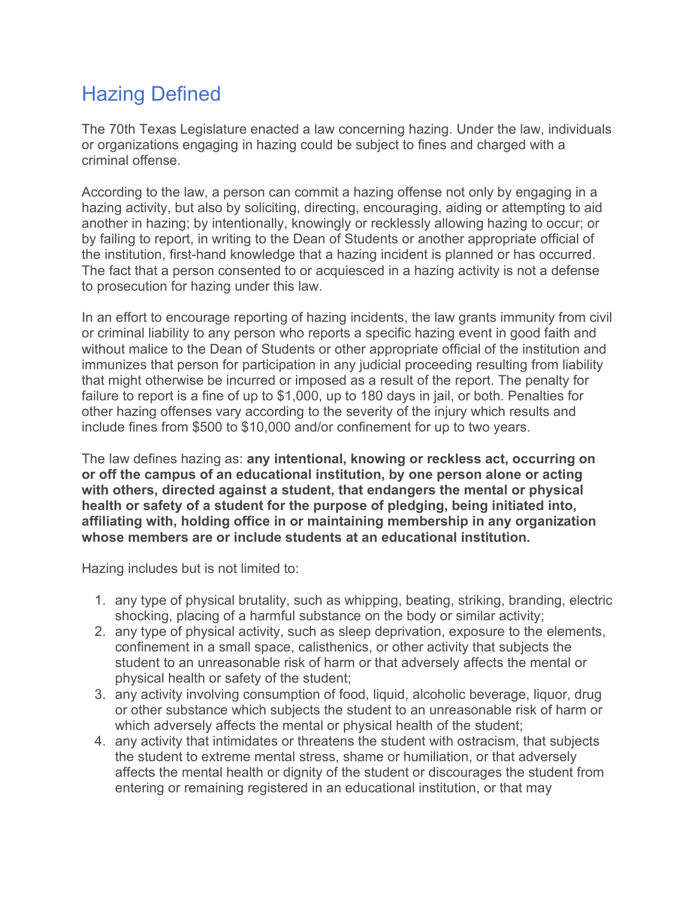# Hazing Defined

The 70th Texas Legislature enacted a law concerning hazing. Under the law, individuals or organizations engaging in hazing could be subject to fines and charged with a criminal offense.

According to the law, a person can commit a hazing offense not only by engaging in a hazing activity, but also by soliciting, directing, encouraging, aiding or attempting to aid another in hazing; by intentionally, knowingly or recklessly allowing hazing to occur; or by failing to report, in writing to the Dean of Students or another appropriate official of the institution, first-hand knowledge that a hazing incident is planned or has occurred. The fact that a person consented to or acquiesced in a hazing activity is not a defense to prosecution for hazing under this law.

In an effort to encourage reporting of hazing incidents, the law grants immunity from civil or criminal liability to any person who reports a specific hazing event in good faith and without malice to the Dean of Students or other appropriate official of the institution and immunizes that person for participation in any judicial proceeding resulting from liability that might otherwise be incurred or imposed as a result of the report. The penalty for failure to report is a fine of up to \$1,000, up to 180 days in jail, or both. Penalties for other hazing offenses vary according to the severity of the injury which results and include fines from \$500 to \$10,000 and/or confinement for up to two years.

The law defines hazing as: **any intentional, knowing or reckless act, occurring on or off the campus of an educational institution, by one person alone or acting with others, directed against a student, that endangers the mental or physical health or safety of a student for the purpose of pledging, being initiated into, affiliating with, holding office in or maintaining membership in any organization whose members are or include students at an educational institution.**

Hazing includes but is not limited to:

- 1. any type of physical brutality, such as whipping, beating, striking, branding, electric shocking, placing of a harmful substance on the body or similar activity;
- 2. any type of physical activity, such as sleep deprivation, exposure to the elements, confinement in a small space, calisthenics, or other activity that subjects the student to an unreasonable risk of harm or that adversely affects the mental or physical health or safety of the student;
- 3. any activity involving consumption of food, liquid, alcoholic beverage, liquor, drug or other substance which subjects the student to an unreasonable risk of harm or which adversely affects the mental or physical health of the student;
- 4. any activity that intimidates or threatens the student with ostracism, that subjects the student to extreme mental stress, shame or humiliation, or that adversely affects the mental health or dignity of the student or discourages the student from entering or remaining registered in an educational institution, or that may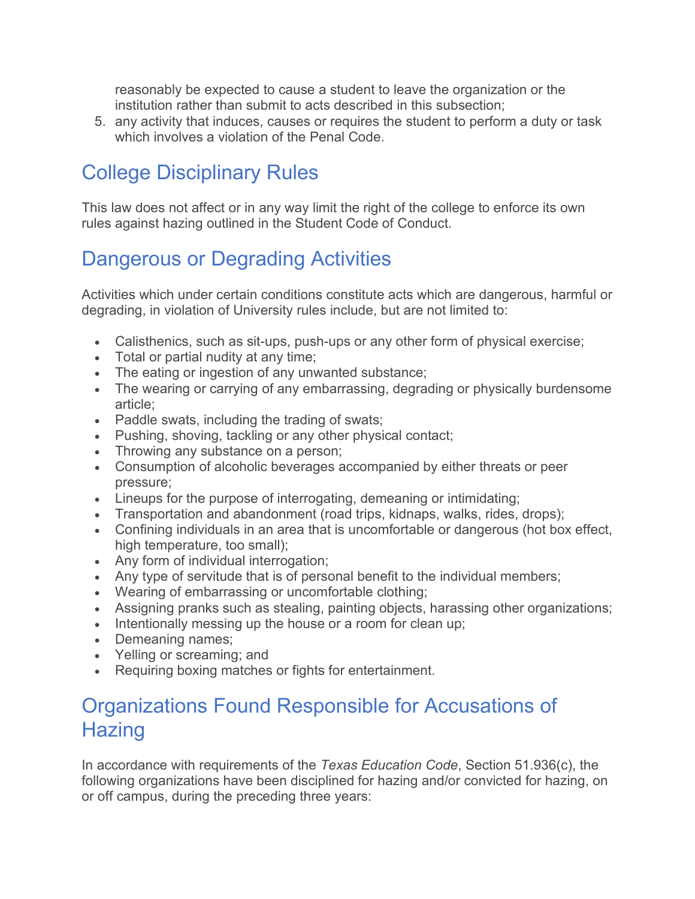reasonably be expected to cause a student to leave the organization or the institution rather than submit to acts described in this subsection;

5. any activity that induces, causes or requires the student to perform a duty or task which involves a violation of the Penal Code.

## College Disciplinary Rules

This law does not affect or in any way limit the right of the college to enforce its own rules against hazing outlined in the Student Code of Conduct.

## Dangerous or Degrading Activities

Activities which under certain conditions constitute acts which are dangerous, harmful or degrading, in violation of University rules include, but are not limited to:

- Calisthenics, such as sit-ups, push-ups or any other form of physical exercise;
- Total or partial nudity at any time;
- The eating or ingestion of any unwanted substance;
- The wearing or carrying of any embarrassing, degrading or physically burdensome article;
- Paddle swats, including the trading of swats;
- Pushing, shoving, tackling or any other physical contact;
- Throwing any substance on a person;
- Consumption of alcoholic beverages accompanied by either threats or peer pressure;
- Lineups for the purpose of interrogating, demeaning or intimidating;
- Transportation and abandonment (road trips, kidnaps, walks, rides, drops);
- Confining individuals in an area that is uncomfortable or dangerous (hot box effect, high temperature, too small);
- Any form of individual interrogation;
- Any type of servitude that is of personal benefit to the individual members;
- Wearing of embarrassing or uncomfortable clothing;
- Assigning pranks such as stealing, painting objects, harassing other organizations;
- Intentionally messing up the house or a room for clean up;
- Demeaning names;
- Yelling or screaming; and
- Requiring boxing matches or fights for entertainment.

#### Organizations Found Responsible for Accusations of **Hazing**

In accordance with requirements of the *Texas Education Code*, Section 51.936(c), the following organizations have been disciplined for hazing and/or convicted for hazing, on or off campus, during the preceding three years: